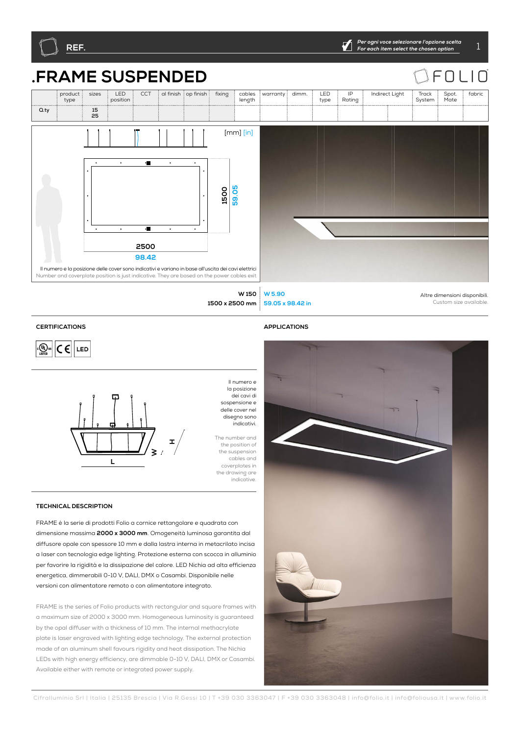



## $\sqsubset$  $\bigcap$  $\mathsf{I} \cap$





## **CERTIFICATIONS APPLICATIONS**







la posizione dei cavi di sospensione e delle cover nel disegno sono indicativi.

Il numero e

The number and the position of the suspension cables and coverplates in the drawing are indicative.

## **TECHNICAL DESCRIPTION**

FRAME è la serie di prodotti Folio a cornice rettangolare e quadrata con dimensione massima **2000 x 3000 mm**. Omogeneità luminosa garantita dal diffusore opale con spessore 10 mm e dalla lastra interna in metacrilato incisa a laser con tecnologia edge lighting. Protezione esterna con scocca in alluminio per favorire la rigidità e la dissipazione del calore. LED Nichia ad alta efficienza energetica, dimmerabili 0-10 V, DALI, DMX o Casambi. Disponibile nelle versioni con alimentatore remoto o con alimentatore integrato.

FRAME is the series of Folio products with rectangular and square frames with a maximum size of 2000 x 3000 mm. Homogeneous luminosity is guaranteed by the opal diffuser with a thickness of 10 mm. The internal methacrylate plate is laser engraved with lighting edge technology. The external protection made of an aluminum shell favours rigidity and heat dissipation. The Nichia LEDs with high energy efficiency, are dimmable 0-10 V, DALI, DMX or Casambi. Available either with remote or integrated power supply.

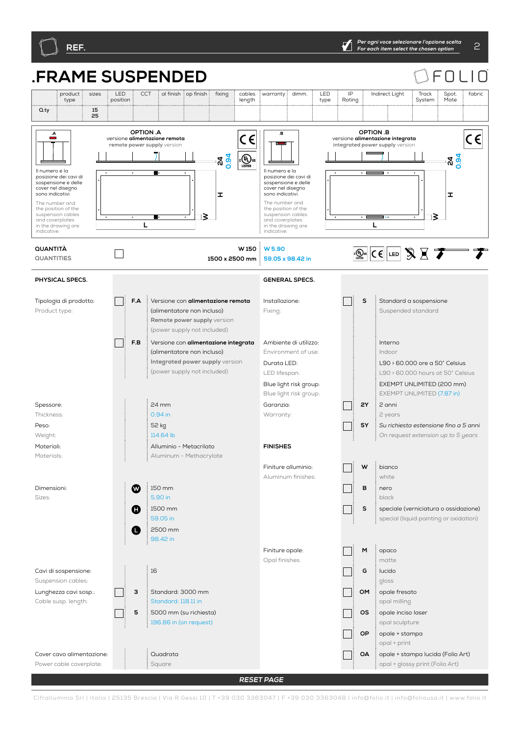

## **.FRAME SUSPENDED** F  $\bigcap$ product sizes : LED CCT al finish op finish fixing cables  $warrow$ : dimm.  $E$  LED IP Indirect Light Track Spot. fabric type position length Rating System Mate type **Q.ty 15 F.AF.B P2P1 TWRQ3040352757 WBS OMOAOPOSMG USCC 35 2Y5Y 010 DMDACA ONV 4065DL BASE TS SM <sup>30</sup> <sup>30</sup> TINY45 TINY STK SA RQ40352757 TWRQ4057R25 OPTION .A OPTION .B**   $\overline{c}$ E  $C \in$  $\epsilon$ versione **alimentazione remota** versione **alimentazione integrata remote power supply** version **integrated power supply**  $\overline{\phantom{0}}$  $\overline{\mathbb{C}(\mathbb{Q})}_{\text{ustra}}$ **24 0.94 24 0.94** Il numero e la Il numero e la posizione dei cavi di posizione dei cavi di sospensione e delle sospensione e delle cover nel disegno cover nel disegn sono indicativi. **H**sono indicativi. **H**The number and The number and the position of the the position of the suspension cables suspension cables ⊺≳ ⊺≷ and coverplates and coverplates **L** in the drawing are **L** in the drawing are indicative. indicative. **W 150 QUANTITÀ W 5.90**  $\boxed{(\bigoplus_{\text{LSTB}}\n\mathbb{C}\in \left]$  LED  $\bigotimes \n\mathbb{C}$  $\Box$ **QUANTITIES 1500 x 2500 mm 59.05 x 98.42 in PHYSICAL SPECS. GENERAL SPECS. F.A** Versione con **alimentazione remota** Tipologia di prodotto: Installazione: **S** Standard a sospensione Fixing: Product type: (alimentatore non incluso) Suspended standard **Remote power supply** version (power supply not included) **F.B** Versione con **alimentazione integrata** Ambiente di utilizzo: Interno - 1 (alimentatore non incluso) Environment of use: Indoor **Integrated power supply** version Durata LED: L90 > 60.000 ore a 50° Celsius (power supply not included) LED lifespan: L90 > 60.000 hours at 50° Celsius Blue light risk group: EXEMPT UNLIMITED (200 mm) Blue light risk group: EXEMPT UNLIMITED (7.87 in) 24 mm **2Y** 2 anni Garanzia: Spessore:  $\mathbf{L}$ Thickness: 0.94 in Warranty: 2 years 52 kg **5Y** *Su richiesta estensione fino a 5 anni* Peso: Weight: 114.64 lb *On request extension up to 5 years* **FINISHES** Materiali: Alluminio - Metacrilato Materials: Aluminum - Methacrylate Finiture alluminio:  $W \stackrel{\text{if}}{\longrightarrow}$ Aluminum finishes: white  $\boldsymbol{\Omega}$ 150 mm **B** nero Dimensioni: 5.90 in Sizes: black Δ 1500 mm **S** speciale (verniciatura o ossidazione) 59.05 in special (liquid painting or oxidation) 2500 mm Λ 98.42 in Finiture opale: **M** opaco Opal finishes: matte Cavi di sospensione: 16 **G** lucido Suspension cables: gloss **3** Standard: 3000 mm Lunghezza cavi sosp.: **OM** : opale fresato Standard: 118.11 in Cable susp. length: opal milling **5** 5000 mm (su richiesta) **OS** opale inciso laser 196.86 in (on request) opal sculpture **OP** opale + stampa opal + print Cover cavo alimentazione: Quadrata **OA** opale + stampa lucida (Folio Art) Power cable coverplate: Square opal + glossy print (Folio Art)

**RESET PAGE**

Cifralluminio Srl | Italia | 25135 Brescia | Via R.Gessi 10 | T +39 030 3363047 | F +39 030 3363048 | info@folio.it | info@foliousa.it | www.folio.it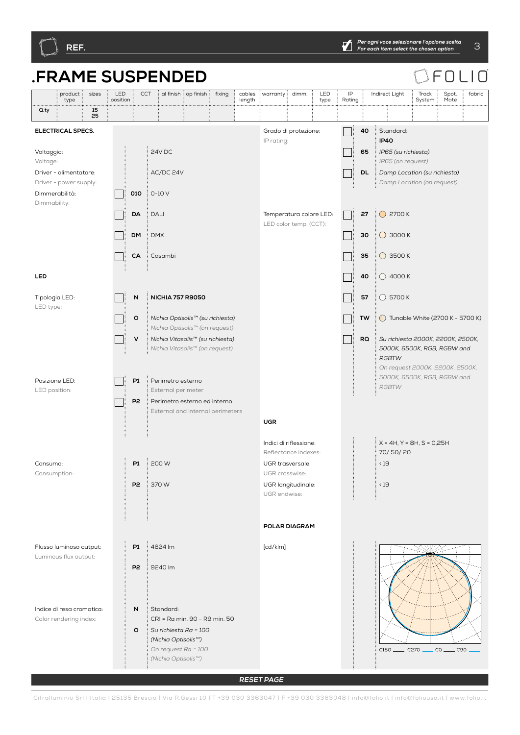

**RESET PAGE**

Cifralluminio Srl | Italia | 25135 Brescia | Via R.Gessi 10 | T +39 030 3363047 | F +39 030 3363048 | info@folio.it | info@foliousa.it | www.folio.it